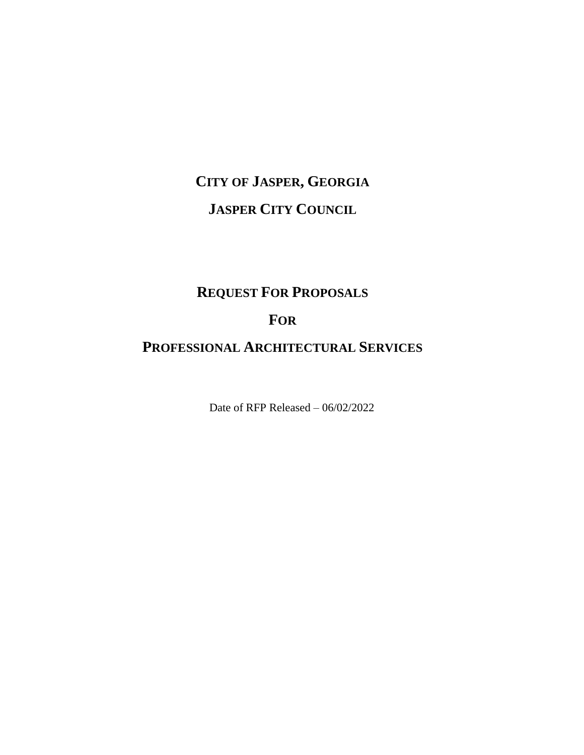# **CITY OF JASPER, GEORGIA JASPER CITY COUNCIL**

## **REQUEST FOR PROPOSALS**

## **FOR**

### **PROFESSIONAL ARCHITECTURAL SERVICES**

Date of RFP Released – 06/02/2022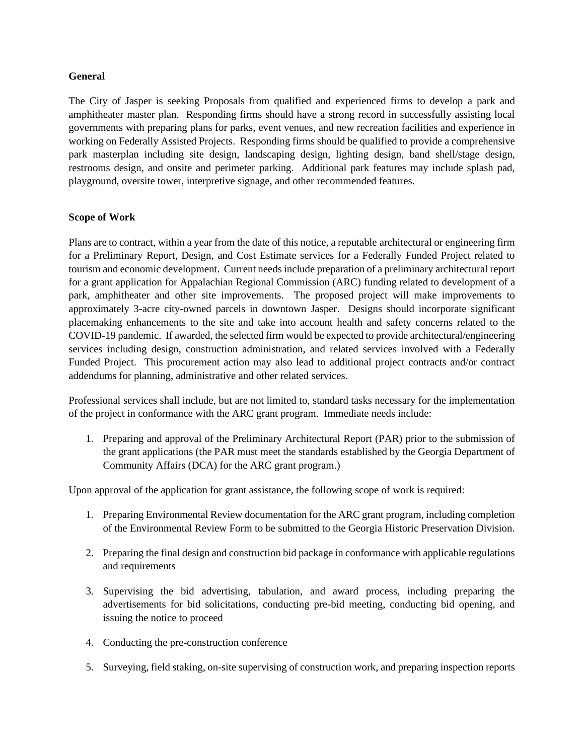#### **General**

The City of Jasper is seeking Proposals from qualified and experienced firms to develop a park and amphitheater master plan. Responding firms should have a strong record in successfully assisting local governments with preparing plans for parks, event venues, and new recreation facilities and experience in working on Federally Assisted Projects. Responding firms should be qualified to provide a comprehensive park masterplan including site design, landscaping design, lighting design, band shell/stage design, restrooms design, and onsite and perimeter parking. Additional park features may include splash pad, playground, oversite tower, interpretive signage, and other recommended features.

#### **Scope of Work**

Plans are to contract, within a year from the date of this notice, a reputable architectural or engineering firm for a Preliminary Report, Design, and Cost Estimate services for a Federally Funded Project related to tourism and economic development. Current needs include preparation of a preliminary architectural report for a grant application for Appalachian Regional Commission (ARC) funding related to development of a park, amphitheater and other site improvements. The proposed project will make improvements to approximately 3-acre city-owned parcels in downtown Jasper. Designs should incorporate significant placemaking enhancements to the site and take into account health and safety concerns related to the COVID-19 pandemic. If awarded, the selected firm would be expected to provide architectural/engineering services including design, construction administration, and related services involved with a Federally Funded Project. This procurement action may also lead to additional project contracts and/or contract addendums for planning, administrative and other related services.

Professional services shall include, but are not limited to, standard tasks necessary for the implementation of the project in conformance with the ARC grant program. Immediate needs include:

1. Preparing and approval of the Preliminary Architectural Report (PAR) prior to the submission of the grant applications (the PAR must meet the standards established by the Georgia Department of Community Affairs (DCA) for the ARC grant program.)

Upon approval of the application for grant assistance, the following scope of work is required:

- 1. Preparing Environmental Review documentation for the ARC grant program, including completion of the Environmental Review Form to be submitted to the Georgia Historic Preservation Division.
- 2. Preparing the final design and construction bid package in conformance with applicable regulations and requirements
- 3. Supervising the bid advertising, tabulation, and award process, including preparing the advertisements for bid solicitations, conducting pre-bid meeting, conducting bid opening, and issuing the notice to proceed
- 4. Conducting the pre-construction conference
- 5. Surveying, field staking, on-site supervising of construction work, and preparing inspection reports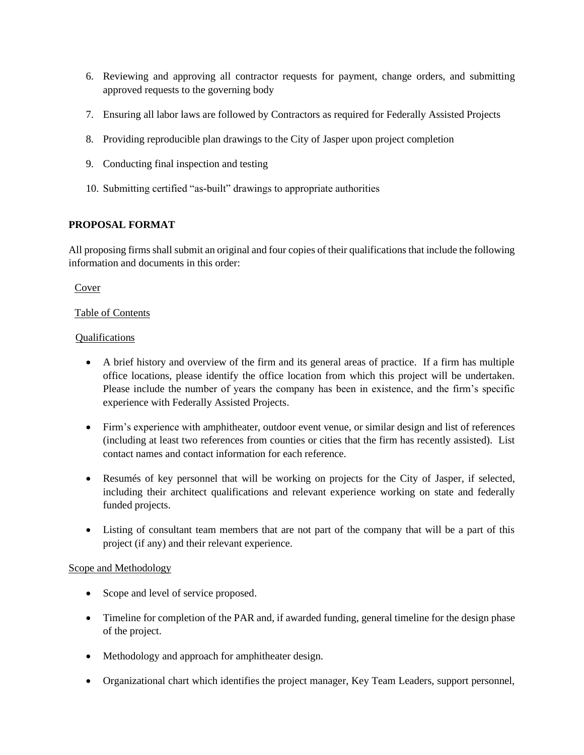- 6. Reviewing and approving all contractor requests for payment, change orders, and submitting approved requests to the governing body
- 7. Ensuring all labor laws are followed by Contractors as required for Federally Assisted Projects
- 8. Providing reproducible plan drawings to the City of Jasper upon project completion
- 9. Conducting final inspection and testing
- 10. Submitting certified "as-built" drawings to appropriate authorities

#### **PROPOSAL FORMAT**

All proposing firmsshall submit an original and four copies of their qualifications that include the following information and documents in this order:

Cover

#### Table of Contents

#### Qualifications

- A brief history and overview of the firm and its general areas of practice. If a firm has multiple office locations, please identify the office location from which this project will be undertaken. Please include the number of years the company has been in existence, and the firm's specific experience with Federally Assisted Projects.
- Firm's experience with amphitheater, outdoor event venue, or similar design and list of references (including at least two references from counties or cities that the firm has recently assisted). List contact names and contact information for each reference.
- Resumés of key personnel that will be working on projects for the City of Jasper, if selected, including their architect qualifications and relevant experience working on state and federally funded projects.
- Listing of consultant team members that are not part of the company that will be a part of this project (if any) and their relevant experience.

#### Scope and Methodology

- Scope and level of service proposed.
- Timeline for completion of the PAR and, if awarded funding, general timeline for the design phase of the project.
- Methodology and approach for amphitheater design.
- Organizational chart which identifies the project manager, Key Team Leaders, support personnel,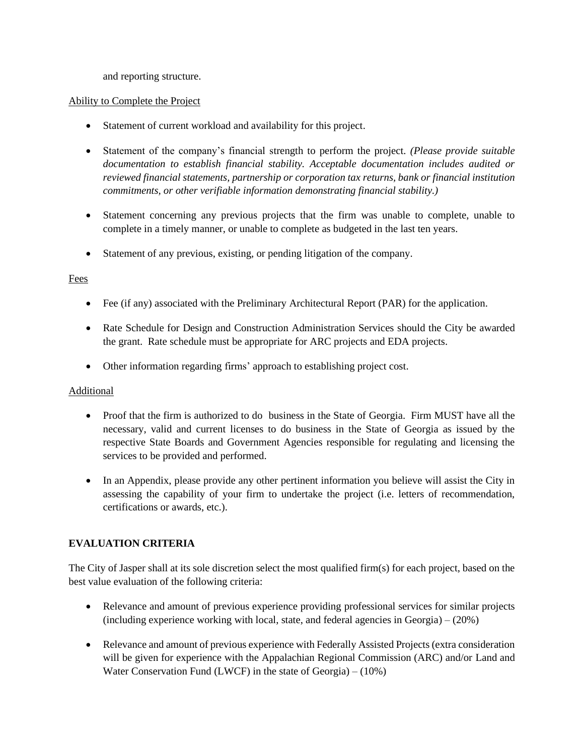and reporting structure.

#### Ability to Complete the Project

- Statement of current workload and availability for this project.
- Statement of the company's financial strength to perform the project. *(Please provide suitable documentation to establish financial stability. Acceptable documentation includes audited or reviewed financial statements, partnership or corporation tax returns, bank or financial institution commitments, or other verifiable information demonstrating financial stability.)*
- Statement concerning any previous projects that the firm was unable to complete, unable to complete in a timely manner, or unable to complete as budgeted in the last ten years.
- Statement of any previous, existing, or pending litigation of the company.

#### Fees

- Fee (if any) associated with the Preliminary Architectural Report (PAR) for the application.
- Rate Schedule for Design and Construction Administration Services should the City be awarded the grant. Rate schedule must be appropriate for ARC projects and EDA projects.
- Other information regarding firms' approach to establishing project cost.

#### Additional

- Proof that the firm is authorized to do business in the State of Georgia. Firm MUST have all the necessary, valid and current licenses to do business in the State of Georgia as issued by the respective State Boards and Government Agencies responsible for regulating and licensing the services to be provided and performed.
- In an Appendix, please provide any other pertinent information you believe will assist the City in assessing the capability of your firm to undertake the project (i.e. letters of recommendation, certifications or awards, etc.).

#### **EVALUATION CRITERIA**

The City of Jasper shall at its sole discretion select the most qualified firm(s) for each project, based on the best value evaluation of the following criteria:

- Relevance and amount of previous experience providing professional services for similar projects (including experience working with local, state, and federal agencies in Georgia) – (20%)
- Relevance and amount of previous experience with Federally Assisted Projects (extra consideration will be given for experience with the Appalachian Regional Commission (ARC) and/or Land and Water Conservation Fund (LWCF) in the state of Georgia) – (10%)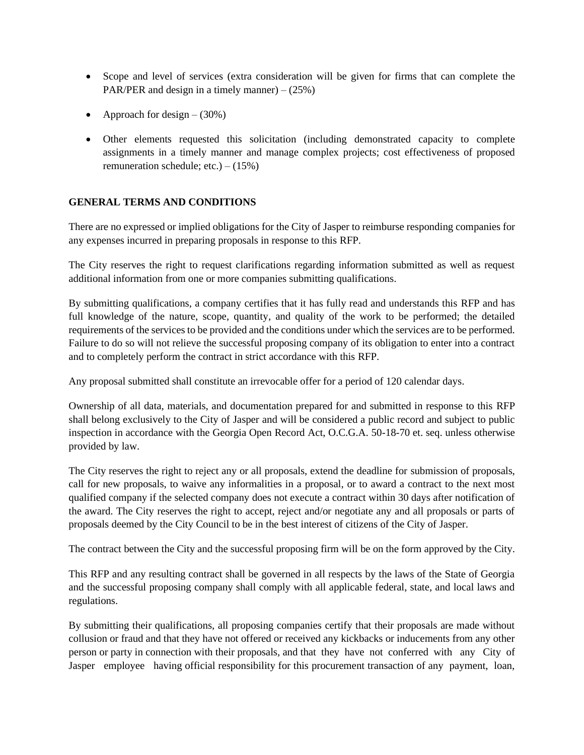- Scope and level of services (extra consideration will be given for firms that can complete the PAR/PER and design in a timely manner) –  $(25%)$
- Approach for design  $(30\%)$
- Other elements requested this solicitation (including demonstrated capacity to complete assignments in a timely manner and manage complex projects; cost effectiveness of proposed remuneration schedule; etc.) – (15%)

#### **GENERAL TERMS AND CONDITIONS**

There are no expressed or implied obligations for the City of Jasper to reimburse responding companies for any expenses incurred in preparing proposals in response to this RFP.

The City reserves the right to request clarifications regarding information submitted as well as request additional information from one or more companies submitting qualifications.

By submitting qualifications, a company certifies that it has fully read and understands this RFP and has full knowledge of the nature, scope, quantity, and quality of the work to be performed; the detailed requirements of the services to be provided and the conditions under which the services are to be performed. Failure to do so will not relieve the successful proposing company of its obligation to enter into a contract and to completely perform the contract in strict accordance with this RFP.

Any proposal submitted shall constitute an irrevocable offer for a period of 120 calendar days.

Ownership of all data, materials, and documentation prepared for and submitted in response to this RFP shall belong exclusively to the City of Jasper and will be considered a public record and subject to public inspection in accordance with the Georgia Open Record Act, O.C.G.A. 50-18-70 et. seq. unless otherwise provided by law.

The City reserves the right to reject any or all proposals, extend the deadline for submission of proposals, call for new proposals, to waive any informalities in a proposal, or to award a contract to the next most qualified company if the selected company does not execute a contract within 30 days after notification of the award. The City reserves the right to accept, reject and/or negotiate any and all proposals or parts of proposals deemed by the City Council to be in the best interest of citizens of the City of Jasper.

The contract between the City and the successful proposing firm will be on the form approved by the City.

This RFP and any resulting contract shall be governed in all respects by the laws of the State of Georgia and the successful proposing company shall comply with all applicable federal, state, and local laws and regulations.

By submitting their qualifications, all proposing companies certify that their proposals are made without collusion or fraud and that they have not offered or received any kickbacks or inducements from any other person or party in connection with their proposals, and that they have not conferred with any City of Jasper employee having official responsibility for this procurement transaction of any payment, loan,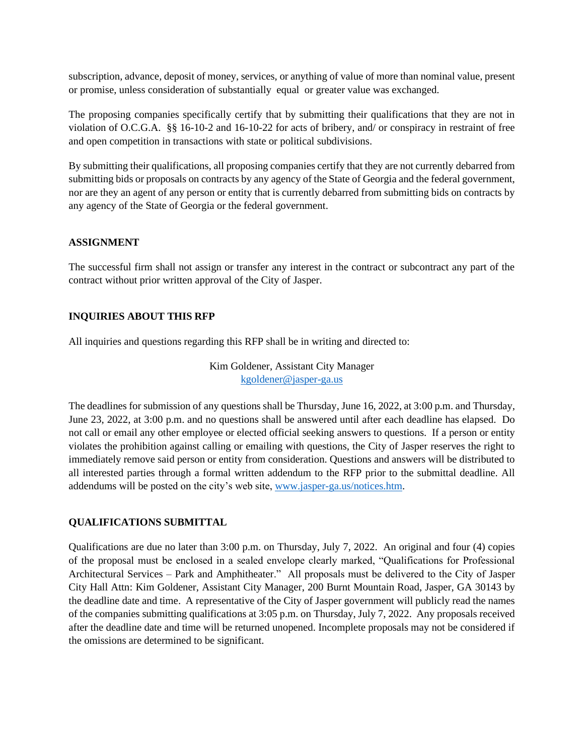subscription, advance, deposit of money, services, or anything of value of more than nominal value, present or promise, unless consideration of substantially equal or greater value was exchanged.

The proposing companies specifically certify that by submitting their qualifications that they are not in violation of O.C.G.A. §§ 16-10-2 and 16-10-22 for acts of bribery, and/ or conspiracy in restraint of free and open competition in transactions with state or political subdivisions.

By submitting their qualifications, all proposing companies certify that they are not currently debarred from submitting bids or proposals on contracts by any agency of the State of Georgia and the federal government, nor are they an agent of any person or entity that is currently debarred from submitting bids on contracts by any agency of the State of Georgia or the federal government.

#### **ASSIGNMENT**

The successful firm shall not assign or transfer any interest in the contract or subcontract any part of the contract without prior written approval of the City of Jasper.

#### **INQUIRIES ABOUT THIS RFP**

All inquiries and questions regarding this RFP shall be in writing and directed to:

Kim Goldener, Assistant City Manager [kgoldener@jasper-ga.us](mailto:kgoldener@jasper-ga.us)

The deadlines for submission of any questions shall be Thursday, June 16, 2022, at 3:00 p.m. and Thursday, June 23, 2022, at 3:00 p.m. and no questions shall be answered until after each deadline has elapsed. Do not call or email any other employee or elected official seeking answers to questions. If a person or entity violates the prohibition against calling or emailing with questions, the City of Jasper reserves the right to immediately remove said person or entity from consideration. Questions and answers will be distributed to all interested parties through a formal written addendum to the RFP prior to the submittal deadline. All addendums will be posted on the city's web site, [www.jasper-ga.us/notices.htm.](http://www.jasper-ga.us/notices.htm)

#### **QUALIFICATIONS SUBMITTAL**

Qualifications are due no later than 3:00 p.m. on Thursday, July 7, 2022. An original and four (4) copies of the proposal must be enclosed in a sealed envelope clearly marked, "Qualifications for Professional Architectural Services – Park and Amphitheater." All proposals must be delivered to the City of Jasper City Hall Attn: Kim Goldener, Assistant City Manager, 200 Burnt Mountain Road, Jasper, GA 30143 by the deadline date and time. A representative of the City of Jasper government will publicly read the names of the companies submitting qualifications at 3:05 p.m. on Thursday, July 7, 2022. Any proposals received after the deadline date and time will be returned unopened. Incomplete proposals may not be considered if the omissions are determined to be significant.